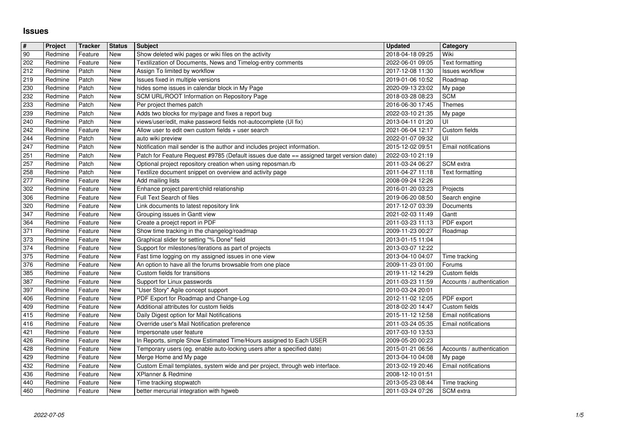## **Issues**

| $\overline{\mathbf{r}}$ | Project            | <b>Tracker</b>     | <b>Status</b> | <b>Subject</b>                                                                                                                               | <b>Updated</b>                       | Category                  |
|-------------------------|--------------------|--------------------|---------------|----------------------------------------------------------------------------------------------------------------------------------------------|--------------------------------------|---------------------------|
| 90                      | Redmine            | Feature            | New           | Show deleted wiki pages or wiki files on the activity                                                                                        | 2018-04-18 09:25                     | Wiki                      |
| 202                     | Redmine            | Feature            | New           | Textilization of Documents, News and Timelog-entry comments                                                                                  | 2022-06-01 09:05                     | <b>Text formatting</b>    |
| 212                     | Redmine            | Patch              | New           | Assign To limited by workflow                                                                                                                | 2017-12-08 11:30                     | <b>Issues workflow</b>    |
| 219                     | Redmine            | Patch              | New           | Issues fixed in multiple versions                                                                                                            | 2019-01-06 10:52                     | Roadmap                   |
| 230                     | Redmine            | Patch              | New           | hides some issues in calendar block in My Page                                                                                               | 2020-09-13 23:02                     | My page                   |
| 232                     | Redmine            | Patch              | New           | SCM URL/ROOT Information on Repository Page                                                                                                  | 2018-03-28 08:23                     | <b>SCM</b>                |
| 233                     | Redmine            | Patch              | New           | Per project themes patch                                                                                                                     | 2016-06-30 17:45                     | <b>Themes</b>             |
| 239                     | Redmine            | Patch              | New           | Adds two blocks for my/page and fixes a report bug                                                                                           | 2022-03-10 21:35                     | My page                   |
| 240                     | Redmine            | Patch              | New           | views/user/edit, make password fields not-autocomplete (UI fix)                                                                              | 2013-04-11 01:20                     | UI                        |
| 242<br>244              | Redmine<br>Redmine | Feature<br>Patch   | New<br>New    | Allow user to edit own custom fields + user search                                                                                           | 2021-06-04 12:17<br>2022-01-07 09:32 | Custom fields<br>UI       |
| 247                     | Redmine            | Patch              | New           | auto wiki preview<br>Notification mail sender is the author and includes project information.                                                | 2015-12-02 09:51                     | Email notifications       |
| 251                     | Redmine            | Patch              | New           | Patch for Feature Request #9785 (Default issues due date == assigned target version date)                                                    | 2022-03-10 21:19                     |                           |
| 257                     | Redmine            | Patch              | New           | Optional project repository creation when using reposman.rb                                                                                  | 2011-03-24 06:27                     | SCM extra                 |
| 258                     | Redmine            | Patch              | New           | Textilize document snippet on overview and activity page                                                                                     | 2011-04-27 11:18                     | Text formatting           |
| 277                     | Redmine            | Feature            | New           | Add mailing lists                                                                                                                            | 2008-09-24 12:26                     |                           |
| 302                     | Redmine            | Feature            | New           | Enhance project parent/child relationship                                                                                                    | 2016-01-20 03:23                     | Projects                  |
| 306                     | Redmine            | Feature            | New           | Full Text Search of files                                                                                                                    | 2019-06-20 08:50                     | Search engine             |
| 320                     | Redmine            | Feature            | New           | Link documents to latest repository link                                                                                                     | 2017-12-07 03:39                     | Documents                 |
| 347                     | Redmine            | Feature            | New           | Grouping issues in Gantt view                                                                                                                | 2021-02-03 11:49                     | Gantt                     |
| 364                     | Redmine            | Feature            | New           | Create a proejct report in PDF                                                                                                               | 2011-03-23 11:13                     | PDF export                |
| 371                     | Redmine            | Feature            | New<br>New    | Show time tracking in the changelog/roadmap                                                                                                  | 2009-11-23 00:27                     | Roadmap                   |
| 373<br>374              | Redmine<br>Redmine | Feature<br>Feature | New           | Graphical slider for setting "% Done" field<br>Support for milestones/iterations as part of projects                                         | 2013-01-15 11:04<br>2013-03-07 12:22 |                           |
| 375                     | Redmine            | Feature            | New           | Fast time logging on my assigned issues in one view                                                                                          | 2013-04-10 04:07                     | Time tracking             |
| 376                     | Redmine            | Feature            | New           | An option to have all the forums browsable from one place                                                                                    | 2009-11-23 01:00                     | Forums                    |
| 385                     | Redmine            | Feature            | New           | Custom fields for transitions                                                                                                                | 2019-11-12 14:29                     | Custom fields             |
| 387                     | Redmine            | Feature            | New           | Support for Linux passwords                                                                                                                  | 2011-03-23 11:59                     | Accounts / authentication |
| 397                     | Redmine            | Feature            | New           | "User Story" Agile concept support                                                                                                           | 2010-03-24 20:01                     |                           |
| 406                     | Redmine            | Feature            | New           | PDF Export for Roadmap and Change-Log                                                                                                        | 2012-11-02 12:05                     | PDF export                |
| 409                     | Redmine            | Feature            | New           | Additional attributes for custom fields                                                                                                      | 2018-02-20 14:47                     | Custom fields             |
| 415                     | Redmine            | Feature            | New           | Daily Digest option for Mail Notifications                                                                                                   | 2015-11-12 12:58                     | Email notifications       |
| 416                     | Redmine            | Feature            | New           | Override user's Mail Notification preference                                                                                                 | 2011-03-24 05:35                     | Email notifications       |
| 421                     | Redmine            | Feature            | New           | Impersonate user feature                                                                                                                     | 2017-03-10 13:53                     |                           |
| 426<br>428              | Redmine<br>Redmine | Feature<br>Feature | New<br>New    | In Reports, simple Show Estimated Time/Hours assigned to Each USER<br>Temporary users (eg. enable auto-locking users after a specified date) | 2009-05-20 00:23                     | Accounts / authentication |
| 429                     | Redmine            | Feature            | New           | Merge Home and My page                                                                                                                       | 2015-01-21 06:56<br>2013-04-10 04:08 | My page                   |
| 432                     | Redmine            | Feature            | New           | Custom Email templates, system wide and per project, through web interface.                                                                  | 2013-02-19 20:46                     | Email notifications       |
| 436                     | Redmine            | Feature            | New           | XPlanner & Redmine                                                                                                                           | 2008-12-10 01:51                     |                           |
| 440                     | Redmine            | Feature            | New           | Time tracking stopwatch                                                                                                                      | 2013-05-23 08:44                     | Time tracking             |
| 460                     | Redmine            | Feature            | New           | better mercurial integration with hgweb                                                                                                      | 2011-03-24 07:26                     | SCM extra                 |
|                         |                    |                    |               |                                                                                                                                              |                                      |                           |
|                         |                    |                    |               |                                                                                                                                              |                                      |                           |
|                         |                    |                    |               |                                                                                                                                              |                                      |                           |
|                         |                    |                    |               |                                                                                                                                              |                                      |                           |
|                         |                    |                    |               |                                                                                                                                              |                                      |                           |
|                         |                    |                    |               |                                                                                                                                              |                                      |                           |
|                         |                    |                    |               |                                                                                                                                              |                                      |                           |
|                         |                    |                    |               |                                                                                                                                              |                                      |                           |
|                         |                    |                    |               |                                                                                                                                              |                                      |                           |
|                         |                    |                    |               |                                                                                                                                              |                                      |                           |
|                         |                    |                    |               |                                                                                                                                              |                                      |                           |
|                         |                    |                    |               |                                                                                                                                              |                                      |                           |
|                         |                    |                    |               |                                                                                                                                              |                                      |                           |
|                         |                    |                    |               |                                                                                                                                              |                                      |                           |
|                         |                    |                    |               |                                                                                                                                              |                                      |                           |
|                         |                    |                    |               |                                                                                                                                              |                                      |                           |
|                         |                    |                    |               |                                                                                                                                              |                                      |                           |
|                         |                    |                    |               |                                                                                                                                              |                                      |                           |
|                         |                    |                    |               |                                                                                                                                              |                                      |                           |
|                         |                    |                    |               |                                                                                                                                              |                                      |                           |
|                         |                    |                    |               |                                                                                                                                              |                                      |                           |
|                         |                    |                    |               |                                                                                                                                              |                                      |                           |
|                         |                    |                    |               |                                                                                                                                              |                                      |                           |
|                         |                    |                    |               |                                                                                                                                              |                                      |                           |
|                         |                    |                    |               |                                                                                                                                              |                                      |                           |
|                         |                    |                    |               |                                                                                                                                              |                                      |                           |
|                         |                    |                    |               |                                                                                                                                              |                                      |                           |
|                         |                    |                    |               |                                                                                                                                              |                                      |                           |
|                         |                    |                    |               |                                                                                                                                              |                                      |                           |
|                         |                    |                    |               |                                                                                                                                              |                                      |                           |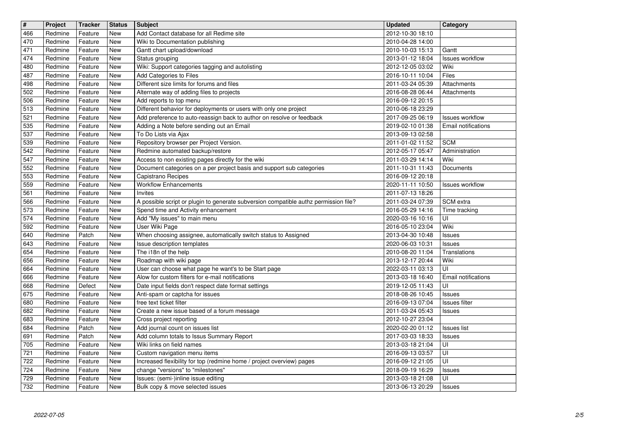| $\sqrt{t}$ | Project            | <b>Tracker</b>     | <b>Status</b> | <b>Subject</b>                                                                       | <b>Updated</b>                       | Category                            |
|------------|--------------------|--------------------|---------------|--------------------------------------------------------------------------------------|--------------------------------------|-------------------------------------|
| 466        | Redmine            | Feature            | New           | Add Contact database for all Redime site                                             | 2012-10-30 18:10                     |                                     |
| 470        | Redmine            | Feature            | New           | Wiki to Documentation publishing                                                     | 2010-04-28 14:00                     |                                     |
| 471        | Redmine            | Feature            | New           | Gantt chart upload/download                                                          | 2010-10-03 15:13                     | Gantt                               |
| 474        | Redmine            | Feature            | New           | Status grouping                                                                      | 2013-01-12 18:04                     | <b>Issues workflow</b>              |
| 480        | Redmine            | Feature            | New           | Wiki: Support categories tagging and autolisting                                     | 2012-12-05 03:02                     | Wiki                                |
| 487        | Redmine            | Feature            | New           | Add Categories to Files                                                              | 2016-10-11 10:04                     | Files                               |
| 498        | Redmine            | Feature            | New           | Different size limits for forums and files                                           | 2011-03-24 05:39                     | Attachments                         |
| 502        | Redmine            | Feature            | New           | Alternate way of adding files to projects                                            | 2016-08-28 06:44                     | Attachments                         |
| 506        | Redmine            | Feature            | New           | Add reports to top menu                                                              | 2016-09-12 20:15                     |                                     |
| 513        | Redmine            | Feature            | New           | Different behavior for deployments or users with only one project                    | 2010-06-18 23:29                     |                                     |
| 521        | Redmine            | Feature            | New           | Add preference to auto-reassign back to author on resolve or feedback                | 2017-09-25 06:19                     | <b>Issues workflow</b>              |
| 535        | Redmine            | Feature            | New           | Adding a Note before sending out an Email                                            | 2019-02-10 01:38                     | Email notifications                 |
| 537        | Redmine            | Feature            | New           | To Do Lists via Ajax                                                                 | 2013-09-13 02:58                     |                                     |
| 539        | Redmine            | Feature            | New           | Repository browser per Project Version.                                              | 2011-01-02 11:52                     | <b>SCM</b>                          |
| 542        | Redmine            | Feature            | New           | Redmine automated backup/restore                                                     | 2012-05-17 05:47                     | Administration                      |
| 547        | Redmine            | Feature            | New           | Access to non existing pages directly for the wiki                                   | 2011-03-29 14:14                     | Wiki                                |
| 552        | Redmine            | Feature            | New           | Document categories on a per project basis and support sub categories                | 2011-10-31 11:43                     | Documents                           |
| 553        | Redmine            | Feature            | New           | Capistrano Recipes                                                                   | 2016-09-12 20:18                     |                                     |
| 559        | Redmine            | Feature            | New           | <b>Workflow Enhancements</b>                                                         | 2020-11-11 10:50                     | <b>Issues workflow</b>              |
| 561        | Redmine            | Feature            | New           | Invites                                                                              | 2011-07-13 18:26                     |                                     |
| 566        | Redmine            | Feature            | New           | A possible script or plugin to generate subversion compatible authz permission file? | 2011-03-24 07:39                     | SCM extra                           |
| 573        | Redmine            | Feature            | New           | Spend time and Activity enhancement                                                  | 2016-05-29 14:16                     | Time tracking                       |
| 574        | Redmine            | Feature            | New           | Add "My issues" to main menu                                                         | 2020-03-16 10:16                     | UI                                  |
| 592        | Redmine            | Feature            | New           | User Wiki Page                                                                       | 2016-05-10 23:04                     | Wiki                                |
| 640        | Redmine            | Patch              | New           | When choosing assignee, automatically switch status to Assigned                      | 2013-04-30 10:48                     | <b>Issues</b>                       |
| 643        | Redmine            | Feature            | New           | Issue description templates                                                          | 2020-06-03 10:31                     | Issues                              |
| 654        | Redmine            | Feature            | New           | The i18n of the help                                                                 | 2010-08-20 11:04                     | Translations                        |
| 656        | Redmine            | Feature            | New           | Roadmap with wiki page                                                               | 2013-12-17 20:44                     | Wiki<br>UI                          |
| 664        | Redmine            | Feature            | New           | User can choose what page he want's to be Start page                                 | 2022-03-11 03:13                     |                                     |
| 666        | Redmine            | Feature            | New           | Alow for custom filters for e-mail notifications                                     | 2013-03-18 16:40                     | Email notifications<br>UI           |
| 668<br>675 | Redmine<br>Redmine | Defect<br>Feature  | New<br>New    | Date input fields don't respect date format settings                                 | 2019-12-05 11:43<br>2018-08-26 10:45 |                                     |
| 680        | Redmine            | Feature            | New           | Anti-spam or captcha for issues<br>free text ticket filter                           | 2016-09-13 07:04                     | <b>Issues</b><br>Issues filter      |
|            |                    |                    |               |                                                                                      |                                      |                                     |
| 682<br>683 | Redmine<br>Redmine | Feature<br>Feature | New<br>New    | Create a new issue based of a forum message<br>Cross project reporting               | 2011-03-24 05:43<br>2012-10-27 23:04 | <b>Issues</b>                       |
| 684        | Redmine            | Patch              | New           | Add journal count on issues list                                                     |                                      |                                     |
| 691        | Redmine            | Patch              | New           | Add column totals to Issus Summary Report                                            | 2020-02-20 01:12<br>2017-03-03 18:33 | <b>Issues list</b><br><b>Issues</b> |
| 705        | Redmine            | Feature            | New           | Wiki links on field names                                                            | 2013-03-18 21:04                     | UI                                  |
| 721        | Redmine            | Feature            | New           | Custom navigation menu items                                                         | 2016-09-13 03:57                     | Ιūι                                 |
| 722        | Redmine            | Feature            | New           | Increased flexibility for top (redmine home / project overview) pages                | 2016-09-12 21:05                     | UI                                  |
| 724        | Redmine            | Feature            | New           | change "versions" to "milestones"                                                    | 2018-09-19 16:29                     | Issues                              |
| 729        | Redmine            | Feature            | New           | Issues: (semi-)inline issue editing                                                  | 2013-03-18 21:08                     | UI                                  |
| 732        | Redmine            | Feature            | New           | Bulk copy & move selected issues                                                     | 2013-06-13 20:29                     | <b>Issues</b>                       |
|            |                    |                    |               |                                                                                      |                                      |                                     |
|            |                    |                    |               |                                                                                      |                                      |                                     |
|            |                    |                    |               |                                                                                      |                                      |                                     |
|            |                    |                    |               |                                                                                      |                                      |                                     |
|            |                    |                    |               |                                                                                      |                                      |                                     |
|            |                    |                    |               |                                                                                      |                                      |                                     |
|            |                    |                    |               |                                                                                      |                                      |                                     |
|            |                    |                    |               |                                                                                      |                                      |                                     |
|            |                    |                    |               |                                                                                      |                                      |                                     |
|            |                    |                    |               |                                                                                      |                                      |                                     |
|            |                    |                    |               |                                                                                      |                                      |                                     |
|            |                    |                    |               |                                                                                      |                                      |                                     |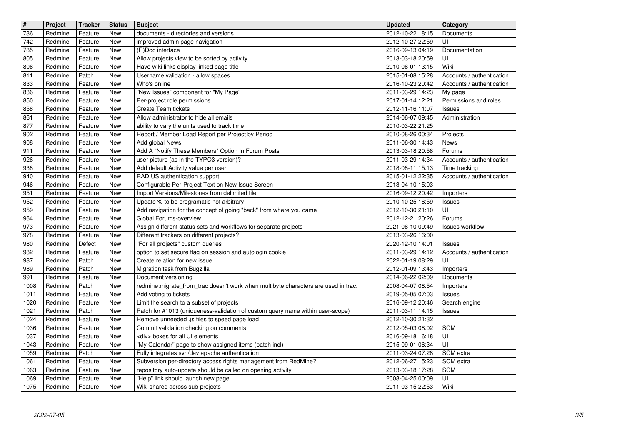| $\overline{\boldsymbol{H}}$ | Project            | <b>Tracker</b>     | <b>Status</b> | <b>Subject</b>                                                                      | <b>Updated</b>                       | Category                  |
|-----------------------------|--------------------|--------------------|---------------|-------------------------------------------------------------------------------------|--------------------------------------|---------------------------|
| 736                         | Redmine            | Feature            | New           | documents - directories and versions                                                | 2012-10-22 18:15                     | Documents                 |
| 742                         | Redmine            | Feature            | New           | improved admin page navigation                                                      | 2012-10-27 22:59                     | UI                        |
| 785                         | Redmine            | Feature            | New           | (R)Doc interface                                                                    | 2016-09-13 04:19                     | Documentation             |
| 805                         | Redmine            | Feature            | New           | Allow projects view to be sorted by activity                                        | 2013-03-18 20:59                     | UI                        |
| 806                         | Redmine            | Feature            | New           | Have wiki links display linked page title                                           | 2010-06-01 13:15                     | Wiki                      |
| 811                         | Redmine            | Patch              | New           | Username validation - allow spaces                                                  | 2015-01-08 15:28                     | Accounts / authentication |
| 833                         | Redmine            | Feature            | New           | Who's online                                                                        | 2016-10-23 20:42                     | Accounts / authentication |
| 836                         | Redmine            | Feature            | New           | "New Issues" component for "My Page"                                                | 2011-03-29 14:23                     | My page                   |
| 850                         | Redmine            | Feature            | New           | Per-project role permissions                                                        | 2017-01-14 12:21                     | Permissions and roles     |
| 858                         | Redmine            | Feature            | New           | Create Team tickets                                                                 | 2012-11-16 11:07                     | <b>Issues</b>             |
| 861                         | Redmine            | Feature            | New           | Allow administrator to hide all emails                                              | 2014-06-07 09:45                     | Administration            |
| 877                         | Redmine            | Feature            | New           | ability to vary the units used to track time                                        | 2010-03-22 21:25                     |                           |
| 902                         | Redmine            | Feature            | New           | Report / Member Load Report per Project by Period                                   | 2010-08-26 00:34                     | Projects                  |
| 908                         | Redmine            | Feature            | New           | Add global News                                                                     | 2011-06-30 14:43                     | News                      |
| 911                         | Redmine            | Feature            | New           | Add A "Notify These Members" Option In Forum Posts                                  | 2013-03-18 20:58                     | Forums                    |
| 926                         | Redmine            | Feature            | New           | user picture (as in the TYPO3 version)?                                             | 2011-03-29 14:34                     | Accounts / authentication |
| 938                         | Redmine            | Feature            | New           | Add default Activity value per user                                                 | 2018-08-11 15:13                     | Time tracking             |
| 940                         | Redmine            | Feature            | New           | RADIUS authentication support                                                       | 2015-01-12 22:35                     | Accounts / authentication |
| 946                         | Redmine            | Feature            | New           | Configurable Per-Project Text on New Issue Screen                                   | 2013-04-10 15:03                     |                           |
| 951                         | Redmine            | Feature            | New           | Import Versions/Milestones from delimited file                                      | 2016-09-12 20:42                     | Importers                 |
| 952                         | Redmine            | Feature            | New           | Update % to be programatic not arbitrary                                            | 2010-10-25 16:59                     | Issues                    |
| 959                         | Redmine            | Feature            | New           | Add navigation for the concept of going "back" from where you came                  | 2012-10-30 21:10                     | UI                        |
| 964                         | Redmine            | Feature            | New           | Global Forums-overview                                                              | 2012-12-21 20:26                     | Forums                    |
| 973                         | Redmine            | Feature            | New           | Assign different status sets and workflows for separate projects                    | 2021-06-10 09:49                     | <b>Issues workflow</b>    |
| 978                         | Redmine            | Feature            | New           | Different trackers on different projects?                                           | 2013-03-26 16:00                     |                           |
| 980                         | Redmine            | Defect             | New           | "For all projects" custom queries                                                   | 2020-12-10 14:01                     | Issues                    |
| 982                         | Redmine            | Feature            | New           | option to set secure flag on session and autologin cookie                           | 2011-03-29 14:12                     | Accounts / authentication |
| 987                         | Redmine            | Patch              | New           | Create relation for new issue                                                       | 2022-01-19 08:29                     | UI                        |
| 989                         | Redmine            | Patch              | New           | Migration task from Bugzilla                                                        | 2012-01-09 13:43                     | Importers                 |
| 991                         | Redmine            | Feature            | New           | Document versioning                                                                 | 2014-06-22 02:09                     | Documents                 |
| 1008                        | Redmine            | Patch              | New           | redmine: migrate_from_trac doesn't work when multibyte characters are used in trac. | 2008-04-07 08:54                     | Importers                 |
| 1011                        | Redmine            | Feature            | New           | Add voting to tickets                                                               | 2019-05-05 07:03                     | Issues                    |
| 1020                        | Redmine            | Feature            | New           | Limit the search to a subset of projects                                            | 2016-09-12 20:46                     | Search engine             |
| 1021                        | Redmine            | Patch              | New           | Patch for #1013 (uniqueness-validation of custom query name within user-scope)      | 2011-03-11 14:15                     | Issues                    |
| 1024                        | Redmine            | Feature            | New           | Remove unneeded .js files to speed page load                                        | 2012-10-30 21:32                     |                           |
| 1036                        | Redmine            | Feature            | New           | Commit validation checking on comments                                              | 2012-05-03 08:02                     | <b>SCM</b>                |
| 1037                        | Redmine            | Feature            | New           | <div> boxes for all UI elements</div>                                               | 2016-09-18 16:18                     | UI                        |
| 1043                        | Redmine            | Feature            | New           | "My Calendar" page to show assigned items (patch incl)                              | 2015-09-01 06:34                     | UI                        |
| 1059                        | Redmine            | Patch              | New           | Fully integrates svn/dav apache authentication                                      | 2011-03-24 07:28                     | <b>SCM</b> extra          |
| 1061                        | Redmine            | Feature            | New           | Subversion per-directory access rights management from RedMine?                     | 2012-06-27 15:23                     | SCM extra                 |
| 1063                        | Redmine            | Feature            | New           | repository auto-update should be called on opening activity                         | 2013-03-18 17:28                     | <b>SCM</b>                |
| 1069<br>1075                | Redmine<br>Redmine | Feature<br>Feature | New<br>New    | "Help" link should launch new page.<br>Wiki shared across sub-projects              | 2008-04-25 00:09<br>2011-03-15 22:53 | UI<br>Wiki                |
|                             |                    |                    |               |                                                                                     |                                      |                           |
|                             |                    |                    |               |                                                                                     |                                      |                           |
|                             |                    |                    |               |                                                                                     |                                      |                           |
|                             |                    |                    |               |                                                                                     |                                      |                           |
|                             |                    |                    |               |                                                                                     |                                      |                           |
|                             |                    |                    |               |                                                                                     |                                      |                           |
|                             |                    |                    |               |                                                                                     |                                      |                           |
|                             |                    |                    |               |                                                                                     |                                      |                           |
|                             |                    |                    |               |                                                                                     |                                      |                           |
|                             |                    |                    |               |                                                                                     |                                      |                           |
|                             |                    |                    |               |                                                                                     |                                      |                           |
|                             |                    |                    |               |                                                                                     |                                      |                           |
|                             |                    |                    |               |                                                                                     |                                      |                           |
|                             |                    |                    |               |                                                                                     |                                      |                           |
|                             |                    |                    |               |                                                                                     |                                      |                           |
|                             |                    |                    |               |                                                                                     |                                      |                           |
|                             |                    |                    |               |                                                                                     |                                      |                           |
|                             |                    |                    |               |                                                                                     |                                      |                           |
|                             |                    |                    |               |                                                                                     |                                      |                           |
|                             |                    |                    |               |                                                                                     |                                      |                           |
|                             |                    |                    |               |                                                                                     |                                      |                           |
|                             |                    |                    |               |                                                                                     |                                      |                           |
|                             |                    |                    |               |                                                                                     |                                      |                           |
|                             |                    |                    |               |                                                                                     |                                      |                           |
|                             |                    |                    |               |                                                                                     |                                      |                           |
|                             |                    |                    |               |                                                                                     |                                      |                           |
|                             |                    |                    |               |                                                                                     |                                      |                           |
|                             |                    |                    |               |                                                                                     |                                      |                           |
|                             |                    |                    |               |                                                                                     |                                      |                           |
|                             |                    |                    |               |                                                                                     |                                      |                           |
|                             |                    |                    |               |                                                                                     |                                      |                           |
|                             |                    |                    |               |                                                                                     |                                      |                           |
|                             |                    |                    |               |                                                                                     |                                      |                           |
|                             |                    |                    |               |                                                                                     |                                      |                           |
|                             |                    |                    |               |                                                                                     |                                      |                           |
|                             |                    |                    |               |                                                                                     |                                      |                           |
|                             |                    |                    |               |                                                                                     |                                      |                           |
|                             |                    |                    |               |                                                                                     |                                      |                           |
|                             |                    |                    |               |                                                                                     |                                      |                           |
|                             |                    |                    |               |                                                                                     |                                      |                           |
|                             |                    |                    |               |                                                                                     |                                      |                           |
|                             |                    |                    |               |                                                                                     |                                      |                           |
|                             |                    |                    |               |                                                                                     |                                      |                           |
|                             |                    |                    |               |                                                                                     |                                      |                           |
|                             |                    |                    |               |                                                                                     |                                      |                           |
|                             |                    |                    |               |                                                                                     |                                      |                           |
|                             |                    |                    |               |                                                                                     |                                      |                           |
|                             |                    |                    |               |                                                                                     |                                      |                           |
|                             |                    |                    |               |                                                                                     |                                      |                           |
|                             |                    |                    |               |                                                                                     |                                      |                           |
|                             |                    |                    |               |                                                                                     |                                      |                           |
|                             |                    |                    |               |                                                                                     |                                      |                           |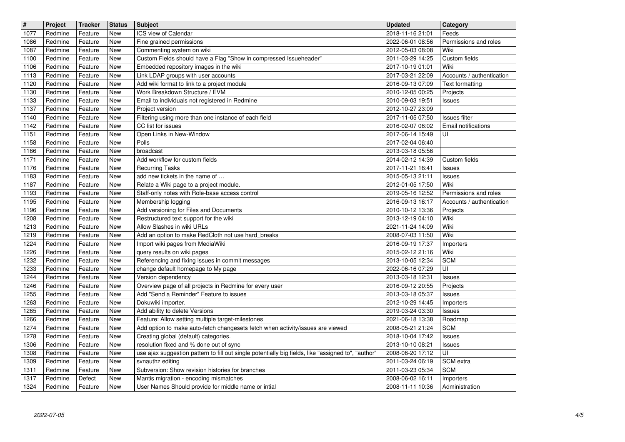| $\overline{\mathbf{H}}$ | Project            | <b>Tracker</b>     | <b>Status</b> | <b>Subject</b>                                                                                                          | Updated                              | Category                                           |
|-------------------------|--------------------|--------------------|---------------|-------------------------------------------------------------------------------------------------------------------------|--------------------------------------|----------------------------------------------------|
| 1077<br>1086            | Redmine<br>Redmine | Feature<br>Feature | New<br>New    | ICS view of Calendar<br>Fine grained permissions                                                                        | 2018-11-16 21:01<br>2022-06-01 08:56 | Feeds<br>Permissions and roles                     |
| 1087                    | Redmine            | Feature            | New           | Commenting system on wiki                                                                                               | 2012-05-03 08:08                     | Wiki                                               |
| 1100<br>1106            | Redmine<br>Redmine | Feature<br>Feature | New<br>New    | Custom Fields should have a Flag "Show in compressed Issueheader"<br>Embedded repository images in the wiki             | 2011-03-29 14:25<br>2017-10-19 01:01 | Custom fields<br>Wiki                              |
| 1113                    | Redmine            | Feature            | New           | Link LDAP groups with user accounts                                                                                     | 2017-03-21 22:09                     | Accounts / authentication                          |
| 1120<br>1130            | Redmine<br>Redmine | Feature<br>Feature | New<br>New    | Add wiki format to link to a project module<br>Work Breakdown Structure / EVM                                           | 2016-09-13 07:09<br>2010-12-05 00:25 | Text formatting<br>Projects                        |
| 1133                    | Redmine            | Feature            | New           | Email to individuals not registered in Redmine                                                                          | 2010-09-03 19:51                     | Issues                                             |
| 1137<br>1140            | Redmine<br>Redmine | Feature<br>Feature | New<br>New    | Project version<br>Filtering using more than one instance of each field                                                 | 2012-10-27 23:09<br>2017-11-05 07:50 | Issues filter                                      |
| 1142                    | Redmine            | Feature            | New           | CC list for issues                                                                                                      | 2016-02-07 06:02                     | Email notifications                                |
| 1151                    | Redmine            | Feature            | New           | Open Links in New-Window<br>Polls                                                                                       | 2017-06-14 15:49                     | UI                                                 |
| 1158<br>1166            | Redmine<br>Redmine | Feature<br>Feature | New<br>New    | broadcast                                                                                                               | 2017-02-04 06:40<br>2013-03-18 05:56 |                                                    |
| 1171                    | Redmine            | Feature            | New           | Add workflow for custom fields                                                                                          | 2014-02-12 14:39                     | Custom fields                                      |
| 1176<br>1183            | Redmine<br>Redmine | Feature<br>Feature | New<br>New    | <b>Recurring Tasks</b><br>add new tickets in the name of                                                                | 2017-11-21 16:41<br>2015-05-13 21:11 | Issues<br>Issues                                   |
| 1187                    | Redmine            | Feature            | New           | Relate a Wiki page to a project module.                                                                                 | 2012-01-05 17:50                     | Wiki                                               |
| 1193<br>1195            | Redmine<br>Redmine | Feature<br>Feature | New<br>New    | Staff-only notes with Role-base access control<br>Membership logging                                                    | 2019-05-16 12:52<br>2016-09-13 16:17 | Permissions and roles<br>Accounts / authentication |
| 1196                    | Redmine            | Feature            | New           | Add versioning for Files and Documents                                                                                  | 2010-10-12 13:36                     | Projects                                           |
| 1208<br>1213            | Redmine<br>Redmine | Feature<br>Feature | New<br>New    | Restructured text support for the wiki<br>Allow Slashes in wiki URLs                                                    | 2013-12-19 04:10<br>2021-11-24 14:09 | Wiki<br>Wiki                                       |
| 1219                    | Redmine            | Feature            | New           | Add an option to make RedCloth not use hard_breaks                                                                      | 2008-07-03 11:50                     | Wiki                                               |
| 1224<br>1226            | Redmine<br>Redmine | Feature<br>Feature | New<br>New    | Import wiki pages from MediaWiki<br>query results on wiki pages                                                         | 2016-09-19 17:37<br>2015-02-12 21:16 | Importers<br>Wiki                                  |
| 1232                    | Redmine            | Feature            | New           | Referencing and fixing issues in commit messages                                                                        | 2013-10-05 12:34                     | <b>SCM</b>                                         |
| 1233<br>1244            | Redmine<br>Redmine | Feature<br>Feature | New<br>New    | change default homepage to My page<br>Version dependency                                                                | 2022-06-16 07:29<br>2013-03-18 12:31 | $\overline{U}$<br><b>Issues</b>                    |
| 1246                    | Redmine            | Feature            | New           | Overview page of all projects in Redmine for every user                                                                 | 2016-09-12 20:55                     | Projects                                           |
| 1255                    | Redmine            | Feature            | New           | Add "Send a Reminder" Feature to issues                                                                                 | 2013-03-18 05:37                     | Issues                                             |
| 1263<br>1265            | Redmine<br>Redmine | Feature<br>Feature | New<br>New    | Dokuwiki importer.<br>Add ability to delete Versions                                                                    | 2012-10-29 14:45<br>2019-03-24 03:30 | Importers<br><b>Issues</b>                         |
| 1266                    | Redmine            | Feature            | New           | Feature: Allow setting multiple target-milestones                                                                       | 2021-06-18 13:38                     | Roadmap                                            |
| 1274<br>1278            | Redmine<br>Redmine | Feature<br>Feature | New<br>New    | Add option to make auto-fetch changesets fetch when activity/issues are viewed<br>Creating global (default) categories. | 2008-05-21 21:24<br>2018-10-04 17:42 | <b>SCM</b><br>Issues                               |
| 1306                    | Redmine            | Feature            | New           | resolution fixed and % done out of sync                                                                                 | 2013-10-10 08:21                     | <b>Issues</b>                                      |
| 1308<br>1309            | Redmine<br>Redmine | Feature<br>Feature | New<br>New    | use ajax suggestion pattern to fill out single potentially big fields, like "assigned to", "author"<br>svnauthz editing | 2008-06-20 17:12<br>2011-03-24 06:19 | $\overline{U}$<br>SCM extra                        |
| 1311                    | Redmine            | Feature            | New           | Subversion: Show revision histories for branches                                                                        | 2011-03-23 05:34                     | <b>SCM</b>                                         |
| 1317<br>1324            | Redmine<br>Redmine | Defect<br>Feature  | New<br>New    | Mantis migration - encoding mismatches<br>User Names Should provide for middle name or intial                           | 2008-06-02 16:11<br>2008-11-11 10:36 | Importers<br>Administration                        |
|                         |                    |                    |               |                                                                                                                         |                                      |                                                    |
|                         |                    |                    |               |                                                                                                                         |                                      |                                                    |
|                         |                    |                    |               |                                                                                                                         |                                      |                                                    |
|                         |                    |                    |               |                                                                                                                         |                                      |                                                    |
|                         |                    |                    |               |                                                                                                                         |                                      |                                                    |
|                         |                    |                    |               |                                                                                                                         |                                      |                                                    |
|                         |                    |                    |               |                                                                                                                         |                                      |                                                    |
|                         |                    |                    |               |                                                                                                                         |                                      |                                                    |
|                         |                    |                    |               |                                                                                                                         |                                      |                                                    |
|                         |                    |                    |               |                                                                                                                         |                                      |                                                    |
|                         |                    |                    |               |                                                                                                                         |                                      |                                                    |
|                         |                    |                    |               |                                                                                                                         |                                      |                                                    |
|                         |                    |                    |               |                                                                                                                         |                                      |                                                    |
|                         |                    |                    |               |                                                                                                                         |                                      |                                                    |
|                         |                    |                    |               |                                                                                                                         |                                      |                                                    |
|                         |                    |                    |               |                                                                                                                         |                                      |                                                    |
|                         |                    |                    |               |                                                                                                                         |                                      |                                                    |